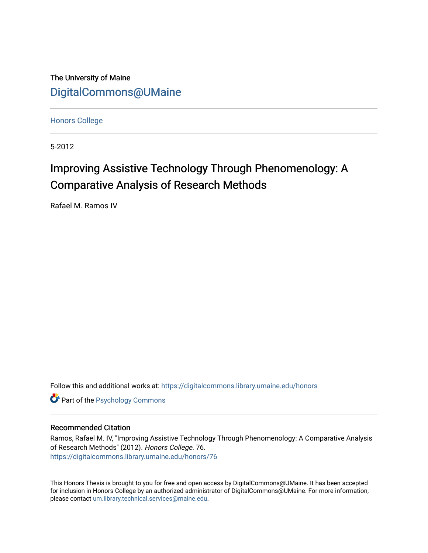The University of Maine [DigitalCommons@UMaine](https://digitalcommons.library.umaine.edu/)

[Honors College](https://digitalcommons.library.umaine.edu/honors)

5-2012

# Improving Assistive Technology Through Phenomenology: A Comparative Analysis of Research Methods

Rafael M. Ramos IV

Follow this and additional works at: [https://digitalcommons.library.umaine.edu/honors](https://digitalcommons.library.umaine.edu/honors?utm_source=digitalcommons.library.umaine.edu%2Fhonors%2F76&utm_medium=PDF&utm_campaign=PDFCoverPages) 

**Part of the Psychology Commons** 

## Recommended Citation

Ramos, Rafael M. IV, "Improving Assistive Technology Through Phenomenology: A Comparative Analysis of Research Methods" (2012). Honors College. 76. [https://digitalcommons.library.umaine.edu/honors/76](https://digitalcommons.library.umaine.edu/honors/76?utm_source=digitalcommons.library.umaine.edu%2Fhonors%2F76&utm_medium=PDF&utm_campaign=PDFCoverPages) 

This Honors Thesis is brought to you for free and open access by DigitalCommons@UMaine. It has been accepted for inclusion in Honors College by an authorized administrator of DigitalCommons@UMaine. For more information, please contact [um.library.technical.services@maine.edu.](mailto:um.library.technical.services@maine.edu)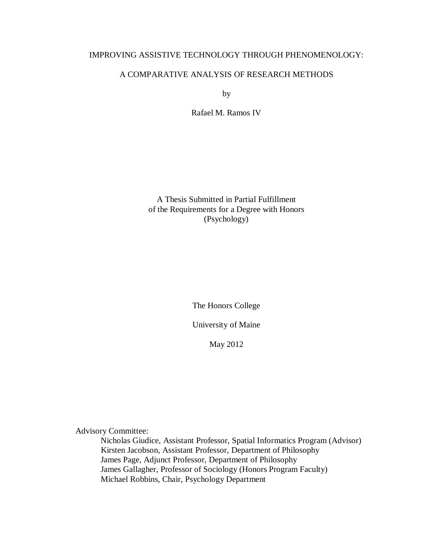# IMPROVING ASSISTIVE TECHNOLOGY THROUGH PHENOMENOLOGY:

## A COMPARATIVE ANALYSIS OF RESEARCH METHODS

by

Rafael M. Ramos IV

A Thesis Submitted in Partial Fulfillment of the Requirements for a Degree with Honors (Psychology)

The Honors College

University of Maine

May 2012

Advisory Committee:

Nicholas Giudice, Assistant Professor, Spatial Informatics Program (Advisor) Kirsten Jacobson, Assistant Professor, Department of Philosophy James Page, Adjunct Professor, Department of Philosophy James Gallagher, Professor of Sociology (Honors Program Faculty) Michael Robbins, Chair, Psychology Department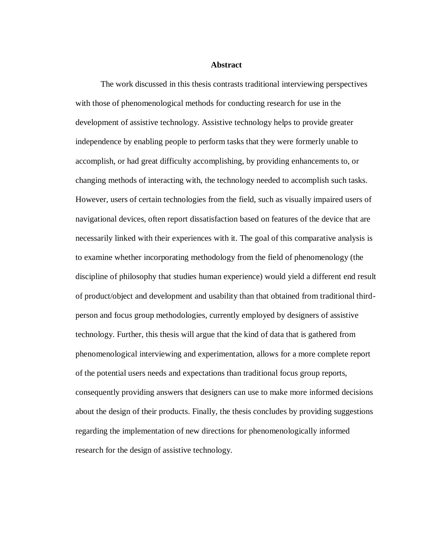**Abstract**

The work discussed in this thesis contrasts traditional interviewing perspectives with those of phenomenological methods for conducting research for use in the development of assistive technology. Assistive technology helps to provide greater independence by enabling people to perform tasks that they were formerly unable to accomplish, or had great difficulty accomplishing, by providing enhancements to, or changing methods of interacting with, the technology needed to accomplish such tasks. However, users of certain technologies from the field, such as visually impaired users of navigational devices, often report dissatisfaction based on features of the device that are necessarily linked with their experiences with it. The goal of this comparative analysis is to examine whether incorporating methodology from the field of phenomenology (the discipline of philosophy that studies human experience) would yield a different end result of product/object and development and usability than that obtained from traditional thirdperson and focus group methodologies, currently employed by designers of assistive technology. Further, this thesis will argue that the kind of data that is gathered from phenomenological interviewing and experimentation, allows for a more complete report of the potential users needs and expectations than traditional focus group reports, consequently providing answers that designers can use to make more informed decisions about the design of their products. Finally, the thesis concludes by providing suggestions regarding the implementation of new directions for phenomenologically informed research for the design of assistive technology.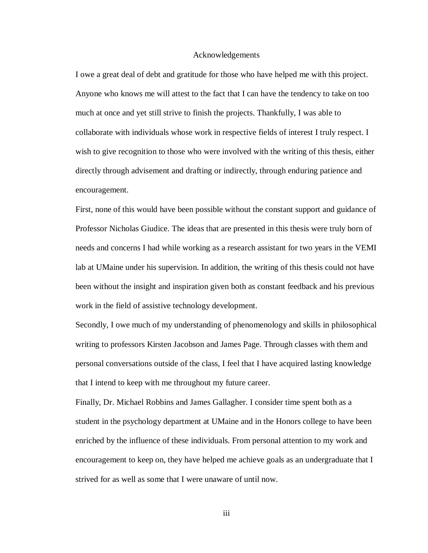#### Acknowledgements

I owe a great deal of debt and gratitude for those who have helped me with this project. Anyone who knows me will attest to the fact that I can have the tendency to take on too much at once and yet still strive to finish the projects. Thankfully, I was able to collaborate with individuals whose work in respective fields of interest I truly respect. I wish to give recognition to those who were involved with the writing of this thesis, either directly through advisement and drafting or indirectly, through enduring patience and encouragement.

First, none of this would have been possible without the constant support and guidance of Professor Nicholas Giudice. The ideas that are presented in this thesis were truly born of needs and concerns I had while working as a research assistant for two years in the VEMI lab at UMaine under his supervision. In addition, the writing of this thesis could not have been without the insight and inspiration given both as constant feedback and his previous work in the field of assistive technology development.

Secondly, I owe much of my understanding of phenomenology and skills in philosophical writing to professors Kirsten Jacobson and James Page. Through classes with them and personal conversations outside of the class, I feel that I have acquired lasting knowledge that I intend to keep with me throughout my future career.

Finally, Dr. Michael Robbins and James Gallagher. I consider time spent both as a student in the psychology department at UMaine and in the Honors college to have been enriched by the influence of these individuals. From personal attention to my work and encouragement to keep on, they have helped me achieve goals as an undergraduate that I strived for as well as some that I were unaware of until now.

iii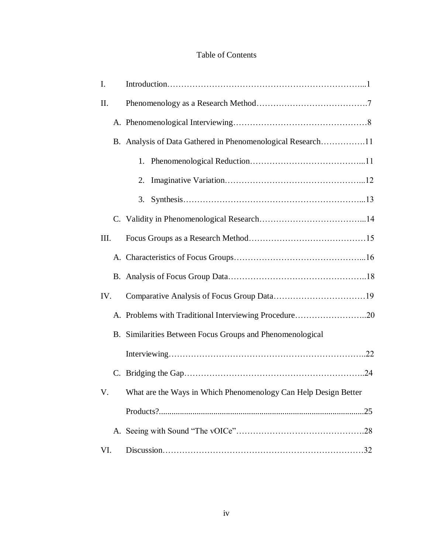# Table of Contents

| Ι.   |                                                                    |  |
|------|--------------------------------------------------------------------|--|
| II.  |                                                                    |  |
|      |                                                                    |  |
|      | B. Analysis of Data Gathered in Phenomenological Research11        |  |
|      |                                                                    |  |
|      | 2.                                                                 |  |
|      | 3.                                                                 |  |
|      |                                                                    |  |
| III. |                                                                    |  |
|      |                                                                    |  |
|      |                                                                    |  |
| IV.  |                                                                    |  |
|      |                                                                    |  |
|      | B. Similarities Between Focus Groups and Phenomenological          |  |
|      |                                                                    |  |
|      |                                                                    |  |
|      | V. What are the Ways in Which Phenomenology Can Help Design Better |  |
|      |                                                                    |  |
|      |                                                                    |  |
| VI.  |                                                                    |  |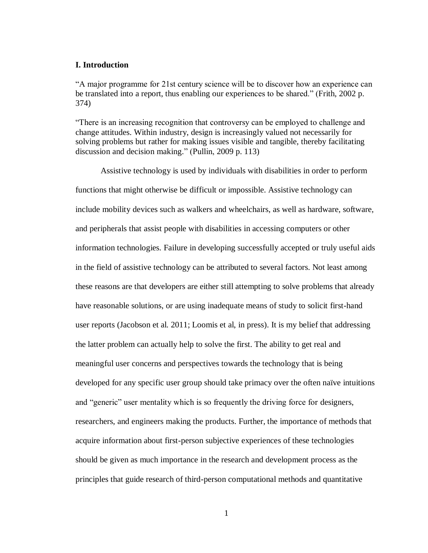## **I. Introduction**

"A major programme for 21st century science will be to discover how an experience can be translated into a report, thus enabling our experiences to be shared." (Frith, 2002 p. 374)

"There is an increasing recognition that controversy can be employed to challenge and change attitudes. Within industry, design is increasingly valued not necessarily for solving problems but rather for making issues visible and tangible, thereby facilitating discussion and decision making." (Pullin, 2009 p. 113)

Assistive technology is used by individuals with disabilities in order to perform functions that might otherwise be difficult or impossible. Assistive technology can include mobility devices such as walkers and wheelchairs, as well as hardware, software, and peripherals that assist people with disabilities in accessing computers or other information technologies. Failure in developing successfully accepted or truly useful aids in the field of assistive technology can be attributed to several factors. Not least among these reasons are that developers are either still attempting to solve problems that already have reasonable solutions, or are using inadequate means of study to solicit first-hand user reports (Jacobson et al. 2011; Loomis et al, in press). It is my belief that addressing the latter problem can actually help to solve the first. The ability to get real and meaningful user concerns and perspectives towards the technology that is being developed for any specific user group should take primacy over the often naïve intuitions and "generic" user mentality which is so frequently the driving force for designers, researchers, and engineers making the products. Further, the importance of methods that acquire information about first-person subjective experiences of these technologies should be given as much importance in the research and development process as the principles that guide research of third-person computational methods and quantitative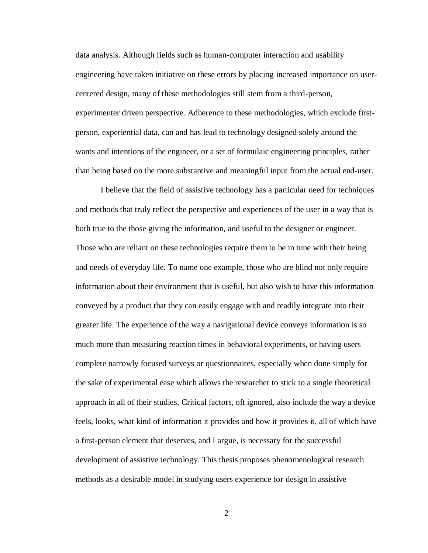data analysis. Although fields such as human-computer interaction and usability engineering have taken initiative on these errors by placing increased importance on usercentered design, many of these methodologies still stem from a third-person, experimenter driven perspective. Adherence to these methodologies, which exclude firstperson, experiential data, can and has lead to technology designed solely around the wants and intentions of the engineer, or a set of formulaic engineering principles, rather than being based on the more substantive and meaningful input from the actual end-user.

I believe that the field of assistive technology has a particular need for techniques and methods that truly reflect the perspective and experiences of the user in a way that is both true to the those giving the information, and useful to the designer or engineer. Those who are reliant on these technologies require them to be in tune with their being and needs of everyday life. To name one example, those who are blind not only require information about their environment that is useful, but also wish to have this information conveyed by a product that they can easily engage with and readily integrate into their greater life. The experience of the way a navigational device conveys information is so much more than measuring reaction times in behavioral experiments, or having users complete narrowly focused surveys or questionnaires, especially when done simply for the sake of experimental ease which allows the researcher to stick to a single theoretical approach in all of their studies. Critical factors, oft ignored, also include the way a device feels, looks, what kind of information it provides and how it provides it, all of which have a first-person element that deserves, and I argue, is necessary for the successful development of assistive technology. This thesis proposes phenomenological research methods as a desirable model in studying users experience for design in assistive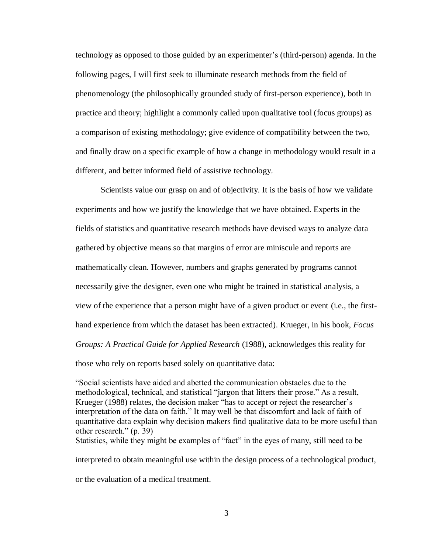technology as opposed to those guided by an experimenter's (third-person) agenda. In the following pages, I will first seek to illuminate research methods from the field of phenomenology (the philosophically grounded study of first-person experience), both in practice and theory; highlight a commonly called upon qualitative tool (focus groups) as a comparison of existing methodology; give evidence of compatibility between the two, and finally draw on a specific example of how a change in methodology would result in a different, and better informed field of assistive technology.

Scientists value our grasp on and of objectivity. It is the basis of how we validate experiments and how we justify the knowledge that we have obtained. Experts in the fields of statistics and quantitative research methods have devised ways to analyze data gathered by objective means so that margins of error are miniscule and reports are mathematically clean. However, numbers and graphs generated by programs cannot necessarily give the designer, even one who might be trained in statistical analysis, a view of the experience that a person might have of a given product or event (i.e., the firsthand experience from which the dataset has been extracted). Krueger, in his book, *Focus Groups: A Practical Guide for Applied Research* (1988), acknowledges this reality for those who rely on reports based solely on quantitative data:

"Social scientists have aided and abetted the communication obstacles due to the methodological, technical, and statistical "jargon that litters their prose." As a result, Krueger (1988) relates, the decision maker "has to accept or reject the researcher's interpretation of the data on faith." It may well be that discomfort and lack of faith of quantitative data explain why decision makers find qualitative data to be more useful than other research." (p. 39) Statistics, while they might be examples of "fact" in the eyes of many, still need to be interpreted to obtain meaningful use within the design process of a technological product, or the evaluation of a medical treatment.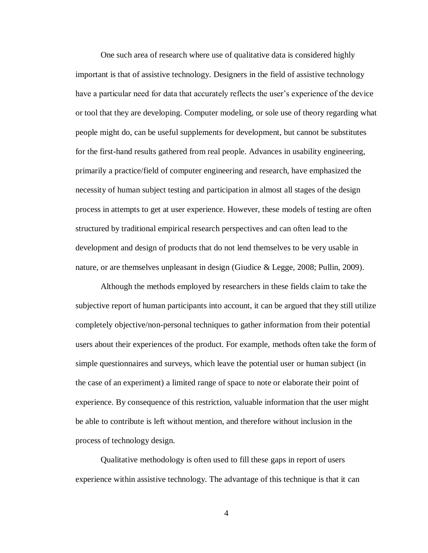One such area of research where use of qualitative data is considered highly important is that of assistive technology. Designers in the field of assistive technology have a particular need for data that accurately reflects the user's experience of the device or tool that they are developing. Computer modeling, or sole use of theory regarding what people might do, can be useful supplements for development, but cannot be substitutes for the first-hand results gathered from real people. Advances in usability engineering, primarily a practice/field of computer engineering and research, have emphasized the necessity of human subject testing and participation in almost all stages of the design process in attempts to get at user experience. However, these models of testing are often structured by traditional empirical research perspectives and can often lead to the development and design of products that do not lend themselves to be very usable in nature, or are themselves unpleasant in design (Giudice & Legge, 2008; Pullin, 2009).

Although the methods employed by researchers in these fields claim to take the subjective report of human participants into account, it can be argued that they still utilize completely objective/non-personal techniques to gather information from their potential users about their experiences of the product. For example, methods often take the form of simple questionnaires and surveys, which leave the potential user or human subject (in the case of an experiment) a limited range of space to note or elaborate their point of experience. By consequence of this restriction, valuable information that the user might be able to contribute is left without mention, and therefore without inclusion in the process of technology design.

Qualitative methodology is often used to fill these gaps in report of users experience within assistive technology. The advantage of this technique is that it can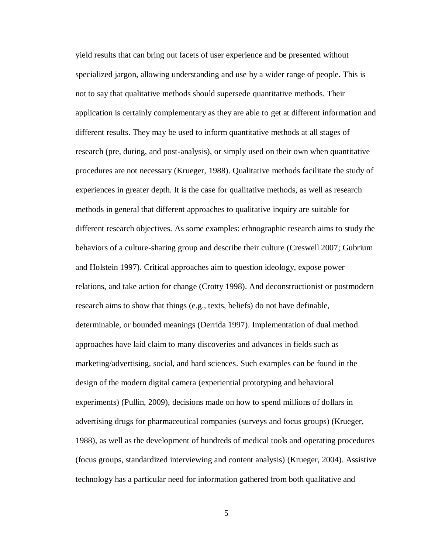yield results that can bring out facets of user experience and be presented without specialized jargon, allowing understanding and use by a wider range of people. This is not to say that qualitative methods should supersede quantitative methods. Their application is certainly complementary as they are able to get at different information and different results. They may be used to inform quantitative methods at all stages of research (pre, during, and post-analysis), or simply used on their own when quantitative procedures are not necessary (Krueger, 1988). Qualitative methods facilitate the study of experiences in greater depth. It is the case for qualitative methods, as well as research methods in general that different approaches to qualitative inquiry are suitable for different research objectives. As some examples: ethnographic research aims to study the behaviors of a culture-sharing group and describe their culture (Creswell 2007; Gubrium and Holstein 1997). Critical approaches aim to question ideology, expose power relations, and take action for change (Crotty 1998). And deconstructionist or postmodern research aims to show that things (e.g., texts, beliefs) do not have definable, determinable, or bounded meanings (Derrida 1997). Implementation of dual method approaches have laid claim to many discoveries and advances in fields such as marketing/advertising, social, and hard sciences. Such examples can be found in the design of the modern digital camera (experiential prototyping and behavioral experiments) (Pullin, 2009), decisions made on how to spend millions of dollars in advertising drugs for pharmaceutical companies (surveys and focus groups) (Krueger, 1988), as well as the development of hundreds of medical tools and operating procedures (focus groups, standardized interviewing and content analysis) (Krueger, 2004). Assistive technology has a particular need for information gathered from both qualitative and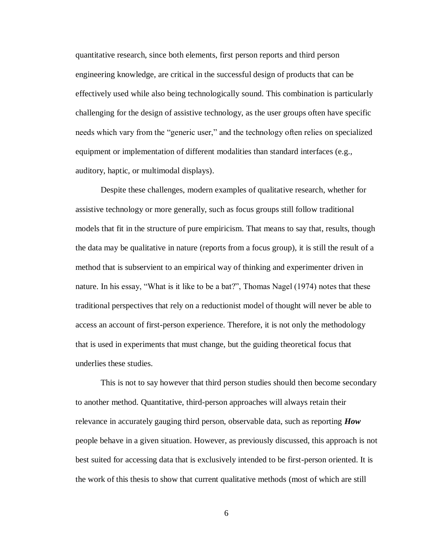quantitative research, since both elements, first person reports and third person engineering knowledge, are critical in the successful design of products that can be effectively used while also being technologically sound. This combination is particularly challenging for the design of assistive technology, as the user groups often have specific needs which vary from the "generic user," and the technology often relies on specialized equipment or implementation of different modalities than standard interfaces (e.g., auditory, haptic, or multimodal displays).

Despite these challenges, modern examples of qualitative research, whether for assistive technology or more generally, such as focus groups still follow traditional models that fit in the structure of pure empiricism. That means to say that, results, though the data may be qualitative in nature (reports from a focus group), it is still the result of a method that is subservient to an empirical way of thinking and experimenter driven in nature. In his essay, "What is it like to be a bat?", Thomas Nagel (1974) notes that these traditional perspectives that rely on a reductionist model of thought will never be able to access an account of first-person experience. Therefore, it is not only the methodology that is used in experiments that must change, but the guiding theoretical focus that underlies these studies.

This is not to say however that third person studies should then become secondary to another method. Quantitative, third-person approaches will always retain their relevance in accurately gauging third person, observable data, such as reporting *How*  people behave in a given situation. However, as previously discussed, this approach is not best suited for accessing data that is exclusively intended to be first-person oriented. It is the work of this thesis to show that current qualitative methods (most of which are still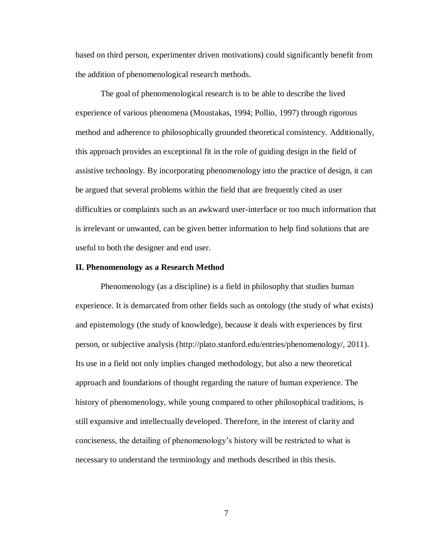based on third person, experimenter driven motivations) could significantly benefit from the addition of phenomenological research methods.

The goal of phenomenological research is to be able to describe the lived experience of various phenomena (Moustakas, 1994; Pollio, 1997) through rigorous method and adherence to philosophically grounded theoretical consistency. Additionally, this approach provides an exceptional fit in the role of guiding design in the field of assistive technology. By incorporating phenomenology into the practice of design, it can be argued that several problems within the field that are frequently cited as user difficulties or complaints such as an awkward user-interface or too much information that is irrelevant or unwanted, can be given better information to help find solutions that are useful to both the designer and end user.

#### **II. Phenomenology as a Research Method**

Phenomenology (as a discipline) is a field in philosophy that studies human experience. It is demarcated from other fields such as ontology (the study of what exists) and epistemology (the study of knowledge), because it deals with experiences by first person, or subjective analysis (http://plato.stanford.edu/entries/phenomenology/, 2011). Its use in a field not only implies changed methodology, but also a new theoretical approach and foundations of thought regarding the nature of human experience. The history of phenomenology, while young compared to other philosophical traditions, is still expansive and intellectually developed. Therefore, in the interest of clarity and conciseness, the detailing of phenomenology's history will be restricted to what is necessary to understand the terminology and methods described in this thesis.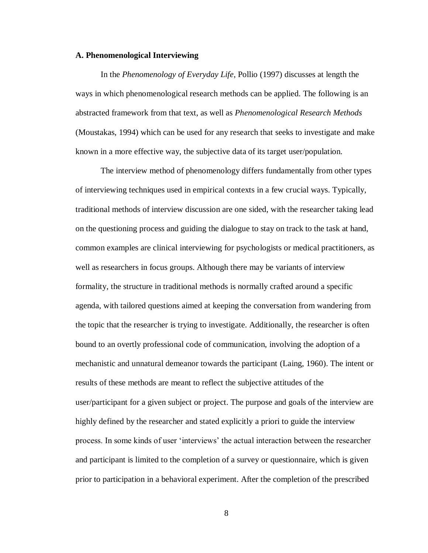## **A. Phenomenological Interviewing**

In the *Phenomenology of Everyday Life*, Pollio (1997) discusses at length the ways in which phenomenological research methods can be applied. The following is an abstracted framework from that text, as well as *Phenomenological Research Methods* (Moustakas, 1994) which can be used for any research that seeks to investigate and make known in a more effective way, the subjective data of its target user/population.

The interview method of phenomenology differs fundamentally from other types of interviewing techniques used in empirical contexts in a few crucial ways. Typically, traditional methods of interview discussion are one sided, with the researcher taking lead on the questioning process and guiding the dialogue to stay on track to the task at hand, common examples are clinical interviewing for psychologists or medical practitioners, as well as researchers in focus groups. Although there may be variants of interview formality, the structure in traditional methods is normally crafted around a specific agenda, with tailored questions aimed at keeping the conversation from wandering from the topic that the researcher is trying to investigate. Additionally, the researcher is often bound to an overtly professional code of communication, involving the adoption of a mechanistic and unnatural demeanor towards the participant (Laing, 1960). The intent or results of these methods are meant to reflect the subjective attitudes of the user/participant for a given subject or project. The purpose and goals of the interview are highly defined by the researcher and stated explicitly a priori to guide the interview process. In some kinds of user 'interviews' the actual interaction between the researcher and participant is limited to the completion of a survey or questionnaire, which is given prior to participation in a behavioral experiment. After the completion of the prescribed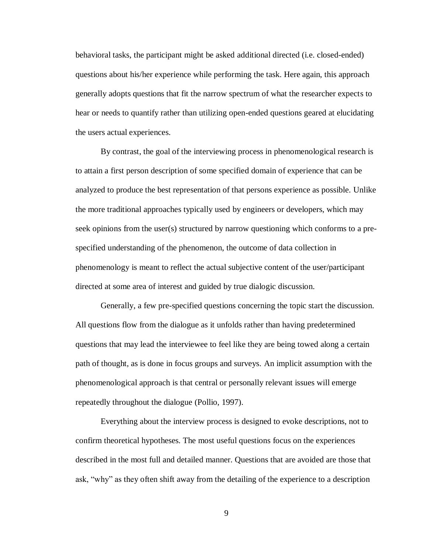behavioral tasks, the participant might be asked additional directed (i.e. closed-ended) questions about his/her experience while performing the task. Here again, this approach generally adopts questions that fit the narrow spectrum of what the researcher expects to hear or needs to quantify rather than utilizing open-ended questions geared at elucidating the users actual experiences.

By contrast, the goal of the interviewing process in phenomenological research is to attain a first person description of some specified domain of experience that can be analyzed to produce the best representation of that persons experience as possible. Unlike the more traditional approaches typically used by engineers or developers, which may seek opinions from the user(s) structured by narrow questioning which conforms to a prespecified understanding of the phenomenon, the outcome of data collection in phenomenology is meant to reflect the actual subjective content of the user/participant directed at some area of interest and guided by true dialogic discussion.

Generally, a few pre-specified questions concerning the topic start the discussion. All questions flow from the dialogue as it unfolds rather than having predetermined questions that may lead the interviewee to feel like they are being towed along a certain path of thought, as is done in focus groups and surveys. An implicit assumption with the phenomenological approach is that central or personally relevant issues will emerge repeatedly throughout the dialogue (Pollio, 1997).

Everything about the interview process is designed to evoke descriptions, not to confirm theoretical hypotheses. The most useful questions focus on the experiences described in the most full and detailed manner. Questions that are avoided are those that ask, "why" as they often shift away from the detailing of the experience to a description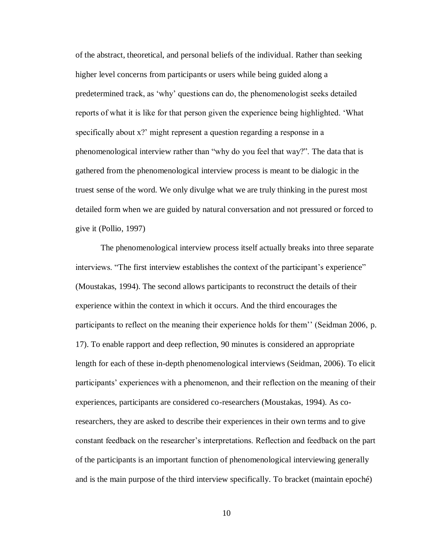of the abstract, theoretical, and personal beliefs of the individual. Rather than seeking higher level concerns from participants or users while being guided along a predetermined track, as 'why' questions can do, the phenomenologist seeks detailed reports of what it is like for that person given the experience being highlighted. 'What specifically about x?' might represent a question regarding a response in a phenomenological interview rather than "why do you feel that way?". The data that is gathered from the phenomenological interview process is meant to be dialogic in the truest sense of the word. We only divulge what we are truly thinking in the purest most detailed form when we are guided by natural conversation and not pressured or forced to give it (Pollio, 1997)

The phenomenological interview process itself actually breaks into three separate interviews. "The first interview establishes the context of the participant's experience" (Moustakas, 1994). The second allows participants to reconstruct the details of their experience within the context in which it occurs. And the third encourages the participants to reflect on the meaning their experience holds for them'' (Seidman 2006, p. 17). To enable rapport and deep reflection, 90 minutes is considered an appropriate length for each of these in-depth phenomenological interviews (Seidman, 2006). To elicit participants' experiences with a phenomenon, and their reflection on the meaning of their experiences, participants are considered co-researchers (Moustakas, 1994). As coresearchers, they are asked to describe their experiences in their own terms and to give constant feedback on the researcher's interpretations. Reflection and feedback on the part of the participants is an important function of phenomenological interviewing generally and is the main purpose of the third interview specifically. To bracket (maintain epoché)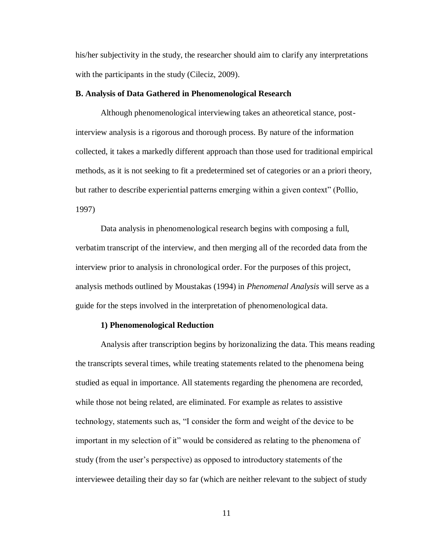his/her subjectivity in the study, the researcher should aim to clarify any interpretations with the participants in the study (Cileciz, 2009).

## **B. Analysis of Data Gathered in Phenomenological Research**

Although phenomenological interviewing takes an atheoretical stance, postinterview analysis is a rigorous and thorough process. By nature of the information collected, it takes a markedly different approach than those used for traditional empirical methods, as it is not seeking to fit a predetermined set of categories or an a priori theory, but rather to describe experiential patterns emerging within a given context" (Pollio, 1997)

Data analysis in phenomenological research begins with composing a full, verbatim transcript of the interview, and then merging all of the recorded data from the interview prior to analysis in chronological order. For the purposes of this project, analysis methods outlined by Moustakas (1994) in *Phenomenal Analysis* will serve as a guide for the steps involved in the interpretation of phenomenological data.

## **1) Phenomenological Reduction**

Analysis after transcription begins by horizonalizing the data. This means reading the transcripts several times, while treating statements related to the phenomena being studied as equal in importance. All statements regarding the phenomena are recorded, while those not being related, are eliminated. For example as relates to assistive technology, statements such as, "I consider the form and weight of the device to be important in my selection of it" would be considered as relating to the phenomena of study (from the user's perspective) as opposed to introductory statements of the interviewee detailing their day so far (which are neither relevant to the subject of study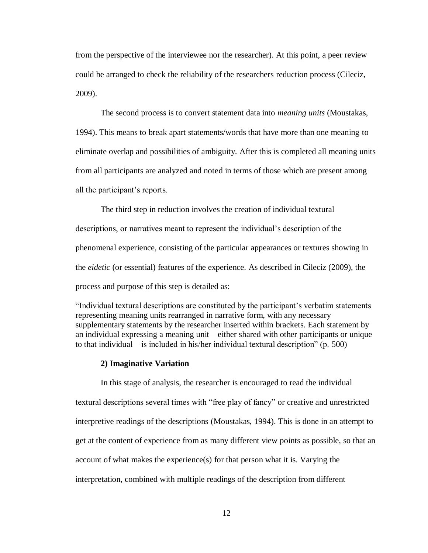from the perspective of the interviewee nor the researcher). At this point, a peer review could be arranged to check the reliability of the researchers reduction process (Cileciz, 2009).

The second process is to convert statement data into *meaning units* (Moustakas, 1994). This means to break apart statements/words that have more than one meaning to eliminate overlap and possibilities of ambiguity. After this is completed all meaning units from all participants are analyzed and noted in terms of those which are present among all the participant's reports.

The third step in reduction involves the creation of individual textural descriptions, or narratives meant to represent the individual's description of the phenomenal experience, consisting of the particular appearances or textures showing in the *eidetic* (or essential) features of the experience. As described in Cileciz (2009), the process and purpose of this step is detailed as:

"Individual textural descriptions are constituted by the participant's verbatim statements representing meaning units rearranged in narrative form, with any necessary supplementary statements by the researcher inserted within brackets. Each statement by an individual expressing a meaning unit—either shared with other participants or unique to that individual—is included in his/her individual textural description" (p. 500)

#### **2) Imaginative Variation**

In this stage of analysis, the researcher is encouraged to read the individual textural descriptions several times with "free play of fancy" or creative and unrestricted interpretive readings of the descriptions (Moustakas, 1994). This is done in an attempt to get at the content of experience from as many different view points as possible, so that an account of what makes the experience(s) for that person what it is. Varying the interpretation, combined with multiple readings of the description from different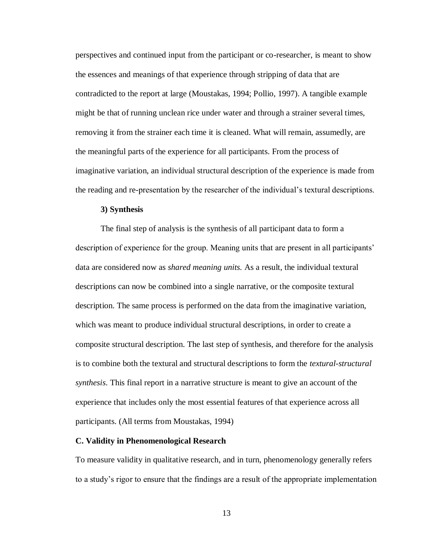perspectives and continued input from the participant or co-researcher, is meant to show the essences and meanings of that experience through stripping of data that are contradicted to the report at large (Moustakas, 1994; Pollio, 1997). A tangible example might be that of running unclean rice under water and through a strainer several times, removing it from the strainer each time it is cleaned. What will remain, assumedly, are the meaningful parts of the experience for all participants. From the process of imaginative variation, an individual structural description of the experience is made from the reading and re-presentation by the researcher of the individual's textural descriptions.

## **3) Synthesis**

The final step of analysis is the synthesis of all participant data to form a description of experience for the group. Meaning units that are present in all participants' data are considered now as *shared meaning units.* As a result, the individual textural descriptions can now be combined into a single narrative, or the composite textural description. The same process is performed on the data from the imaginative variation, which was meant to produce individual structural descriptions, in order to create a composite structural description. The last step of synthesis, and therefore for the analysis is to combine both the textural and structural descriptions to form the *textural-structural synthesis*. This final report in a narrative structure is meant to give an account of the experience that includes only the most essential features of that experience across all participants. (All terms from Moustakas, 1994)

#### **C. Validity in Phenomenological Research**

To measure validity in qualitative research, and in turn, phenomenology generally refers to a study's rigor to ensure that the findings are a result of the appropriate implementation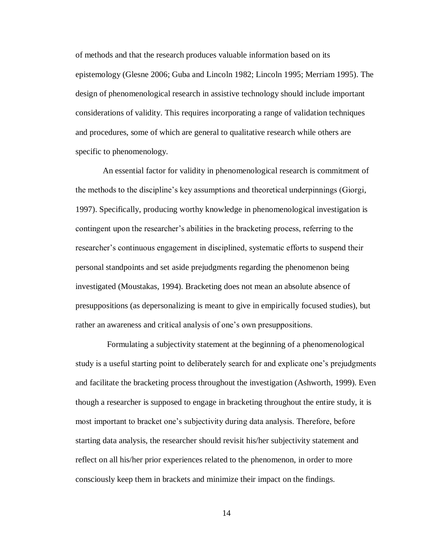of methods and that the research produces valuable information based on its epistemology (Glesne 2006; Guba and Lincoln 1982; Lincoln 1995; Merriam 1995). The design of phenomenological research in assistive technology should include important considerations of validity. This requires incorporating a range of validation techniques and procedures, some of which are general to qualitative research while others are specific to phenomenology.

 An essential factor for validity in phenomenological research is commitment of the methods to the discipline's key assumptions and theoretical underpinnings (Giorgi, 1997). Specifically, producing worthy knowledge in phenomenological investigation is contingent upon the researcher's abilities in the bracketing process, referring to the researcher's continuous engagement in disciplined, systematic efforts to suspend their personal standpoints and set aside prejudgments regarding the phenomenon being investigated (Moustakas, 1994). Bracketing does not mean an absolute absence of presuppositions (as depersonalizing is meant to give in empirically focused studies), but rather an awareness and critical analysis of one's own presuppositions.

 Formulating a subjectivity statement at the beginning of a phenomenological study is a useful starting point to deliberately search for and explicate one's prejudgments and facilitate the bracketing process throughout the investigation (Ashworth, 1999). Even though a researcher is supposed to engage in bracketing throughout the entire study, it is most important to bracket one's subjectivity during data analysis. Therefore, before starting data analysis, the researcher should revisit his/her subjectivity statement and reflect on all his/her prior experiences related to the phenomenon, in order to more consciously keep them in brackets and minimize their impact on the findings.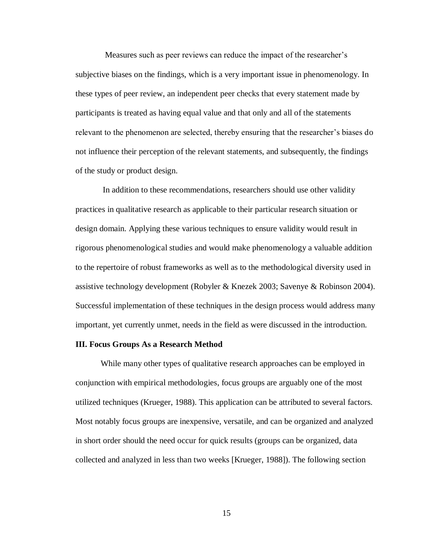Measures such as peer reviews can reduce the impact of the researcher's subjective biases on the findings, which is a very important issue in phenomenology. In these types of peer review, an independent peer checks that every statement made by participants is treated as having equal value and that only and all of the statements relevant to the phenomenon are selected, thereby ensuring that the researcher's biases do not influence their perception of the relevant statements, and subsequently, the findings of the study or product design.

 In addition to these recommendations, researchers should use other validity practices in qualitative research as applicable to their particular research situation or design domain. Applying these various techniques to ensure validity would result in rigorous phenomenological studies and would make phenomenology a valuable addition to the repertoire of robust frameworks as well as to the methodological diversity used in assistive technology development (Robyler & Knezek 2003; Savenye & Robinson 2004). Successful implementation of these techniques in the design process would address many important, yet currently unmet, needs in the field as were discussed in the introduction.

## **III. Focus Groups As a Research Method**

While many other types of qualitative research approaches can be employed in conjunction with empirical methodologies, focus groups are arguably one of the most utilized techniques (Krueger, 1988). This application can be attributed to several factors. Most notably focus groups are inexpensive, versatile, and can be organized and analyzed in short order should the need occur for quick results (groups can be organized, data collected and analyzed in less than two weeks [Krueger, 1988]). The following section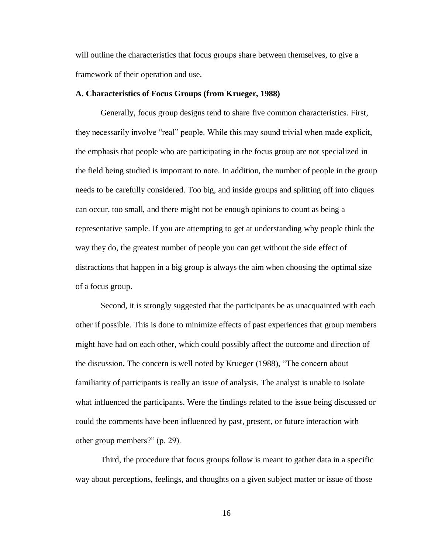will outline the characteristics that focus groups share between themselves, to give a framework of their operation and use.

## **A. Characteristics of Focus Groups (from Krueger, 1988)**

Generally, focus group designs tend to share five common characteristics. First, they necessarily involve "real" people. While this may sound trivial when made explicit, the emphasis that people who are participating in the focus group are not specialized in the field being studied is important to note. In addition, the number of people in the group needs to be carefully considered. Too big, and inside groups and splitting off into cliques can occur, too small, and there might not be enough opinions to count as being a representative sample. If you are attempting to get at understanding why people think the way they do, the greatest number of people you can get without the side effect of distractions that happen in a big group is always the aim when choosing the optimal size of a focus group.

Second, it is strongly suggested that the participants be as unacquainted with each other if possible. This is done to minimize effects of past experiences that group members might have had on each other, which could possibly affect the outcome and direction of the discussion. The concern is well noted by Krueger (1988), "The concern about familiarity of participants is really an issue of analysis. The analyst is unable to isolate what influenced the participants. Were the findings related to the issue being discussed or could the comments have been influenced by past, present, or future interaction with other group members?" (p. 29).

Third, the procedure that focus groups follow is meant to gather data in a specific way about perceptions, feelings, and thoughts on a given subject matter or issue of those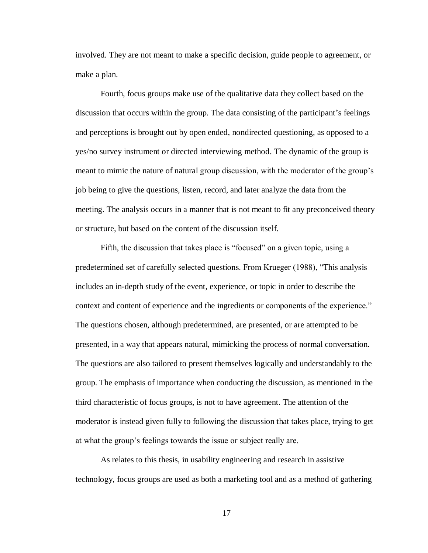involved. They are not meant to make a specific decision, guide people to agreement, or make a plan.

Fourth, focus groups make use of the qualitative data they collect based on the discussion that occurs within the group. The data consisting of the participant's feelings and perceptions is brought out by open ended, nondirected questioning, as opposed to a yes/no survey instrument or directed interviewing method. The dynamic of the group is meant to mimic the nature of natural group discussion, with the moderator of the group's job being to give the questions, listen, record, and later analyze the data from the meeting. The analysis occurs in a manner that is not meant to fit any preconceived theory or structure, but based on the content of the discussion itself.

Fifth, the discussion that takes place is "focused" on a given topic, using a predetermined set of carefully selected questions. From Krueger (1988), "This analysis includes an in-depth study of the event, experience, or topic in order to describe the context and content of experience and the ingredients or components of the experience." The questions chosen, although predetermined, are presented, or are attempted to be presented, in a way that appears natural, mimicking the process of normal conversation. The questions are also tailored to present themselves logically and understandably to the group. The emphasis of importance when conducting the discussion, as mentioned in the third characteristic of focus groups, is not to have agreement. The attention of the moderator is instead given fully to following the discussion that takes place, trying to get at what the group's feelings towards the issue or subject really are.

As relates to this thesis, in usability engineering and research in assistive technology, focus groups are used as both a marketing tool and as a method of gathering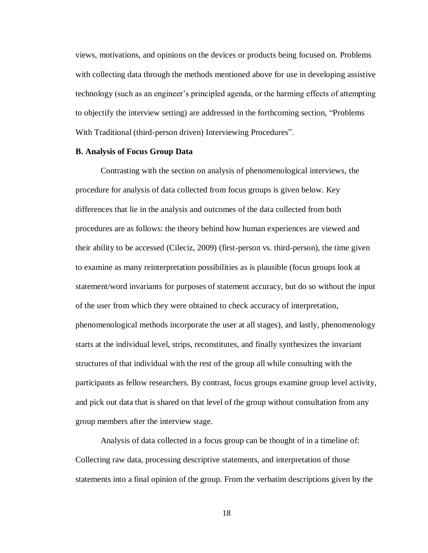views, motivations, and opinions on the devices or products being focused on. Problems with collecting data through the methods mentioned above for use in developing assistive technology (such as an engineer's principled agenda, or the harming effects of attempting to objectify the interview setting) are addressed in the forthcoming section, "Problems With Traditional (third-person driven) Interviewing Procedures".

## **B. Analysis of Focus Group Data**

Contrasting with the section on analysis of phenomenological interviews, the procedure for analysis of data collected from focus groups is given below. Key differences that lie in the analysis and outcomes of the data collected from both procedures are as follows: the theory behind how human experiences are viewed and their ability to be accessed (Cileciz, 2009) (first-person vs. third-person), the time given to examine as many reinterpretation possibilities as is plausible (focus groups look at statement/word invariants for purposes of statement accuracy, but do so without the input of the user from which they were obtained to check accuracy of interpretation, phenomenological methods incorporate the user at all stages), and lastly, phenomenology starts at the individual level, strips, reconstitutes, and finally synthesizes the invariant structures of that individual with the rest of the group all while consulting with the participants as fellow researchers. By contrast, focus groups examine group level activity, and pick out data that is shared on that level of the group without consultation from any group members after the interview stage.

Analysis of data collected in a focus group can be thought of in a timeline of: Collecting raw data, processing descriptive statements, and interpretation of those statements into a final opinion of the group. From the verbatim descriptions given by the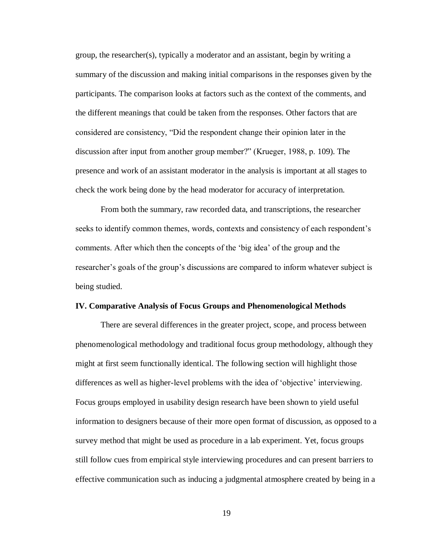group, the researcher(s), typically a moderator and an assistant, begin by writing a summary of the discussion and making initial comparisons in the responses given by the participants. The comparison looks at factors such as the context of the comments, and the different meanings that could be taken from the responses. Other factors that are considered are consistency, "Did the respondent change their opinion later in the discussion after input from another group member?" (Krueger, 1988, p. 109). The presence and work of an assistant moderator in the analysis is important at all stages to check the work being done by the head moderator for accuracy of interpretation.

From both the summary, raw recorded data, and transcriptions, the researcher seeks to identify common themes, words, contexts and consistency of each respondent's comments. After which then the concepts of the 'big idea' of the group and the researcher's goals of the group's discussions are compared to inform whatever subject is being studied.

#### **IV. Comparative Analysis of Focus Groups and Phenomenological Methods**

There are several differences in the greater project, scope, and process between phenomenological methodology and traditional focus group methodology, although they might at first seem functionally identical. The following section will highlight those differences as well as higher-level problems with the idea of 'objective' interviewing. Focus groups employed in usability design research have been shown to yield useful information to designers because of their more open format of discussion, as opposed to a survey method that might be used as procedure in a lab experiment. Yet, focus groups still follow cues from empirical style interviewing procedures and can present barriers to effective communication such as inducing a judgmental atmosphere created by being in a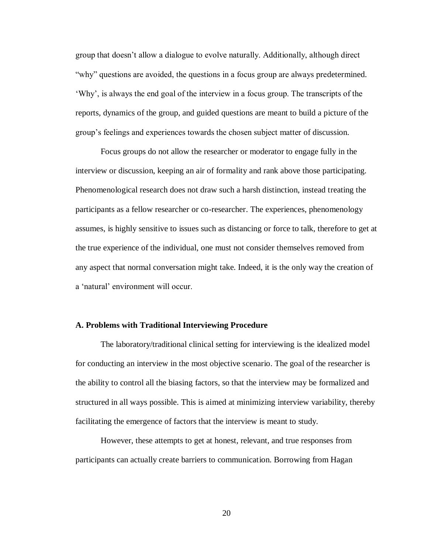group that doesn't allow a dialogue to evolve naturally. Additionally, although direct "why" questions are avoided, the questions in a focus group are always predetermined. 'Why', is always the end goal of the interview in a focus group. The transcripts of the reports, dynamics of the group, and guided questions are meant to build a picture of the group's feelings and experiences towards the chosen subject matter of discussion.

Focus groups do not allow the researcher or moderator to engage fully in the interview or discussion, keeping an air of formality and rank above those participating. Phenomenological research does not draw such a harsh distinction, instead treating the participants as a fellow researcher or co-researcher. The experiences, phenomenology assumes, is highly sensitive to issues such as distancing or force to talk, therefore to get at the true experience of the individual, one must not consider themselves removed from any aspect that normal conversation might take. Indeed, it is the only way the creation of a 'natural' environment will occur.

#### **A. Problems with Traditional Interviewing Procedure**

The laboratory/traditional clinical setting for interviewing is the idealized model for conducting an interview in the most objective scenario. The goal of the researcher is the ability to control all the biasing factors, so that the interview may be formalized and structured in all ways possible. This is aimed at minimizing interview variability, thereby facilitating the emergence of factors that the interview is meant to study.

However, these attempts to get at honest, relevant, and true responses from participants can actually create barriers to communication. Borrowing from Hagan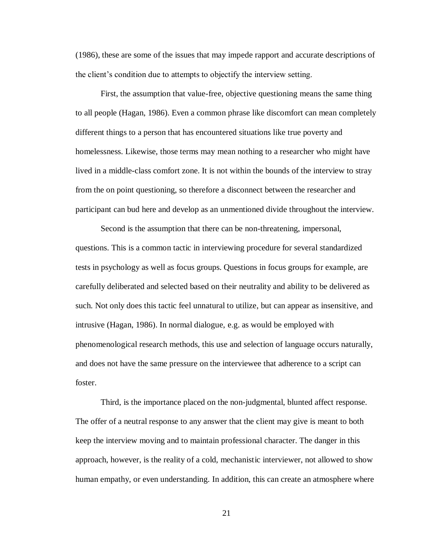(1986), these are some of the issues that may impede rapport and accurate descriptions of the client's condition due to attempts to objectify the interview setting.

First, the assumption that value-free, objective questioning means the same thing to all people (Hagan, 1986). Even a common phrase like discomfort can mean completely different things to a person that has encountered situations like true poverty and homelessness. Likewise, those terms may mean nothing to a researcher who might have lived in a middle-class comfort zone. It is not within the bounds of the interview to stray from the on point questioning, so therefore a disconnect between the researcher and participant can bud here and develop as an unmentioned divide throughout the interview.

Second is the assumption that there can be non-threatening, impersonal, questions. This is a common tactic in interviewing procedure for several standardized tests in psychology as well as focus groups. Questions in focus groups for example, are carefully deliberated and selected based on their neutrality and ability to be delivered as such. Not only does this tactic feel unnatural to utilize, but can appear as insensitive, and intrusive (Hagan, 1986). In normal dialogue, e.g. as would be employed with phenomenological research methods, this use and selection of language occurs naturally, and does not have the same pressure on the interviewee that adherence to a script can foster.

Third, is the importance placed on the non-judgmental, blunted affect response. The offer of a neutral response to any answer that the client may give is meant to both keep the interview moving and to maintain professional character. The danger in this approach, however, is the reality of a cold, mechanistic interviewer, not allowed to show human empathy, or even understanding. In addition, this can create an atmosphere where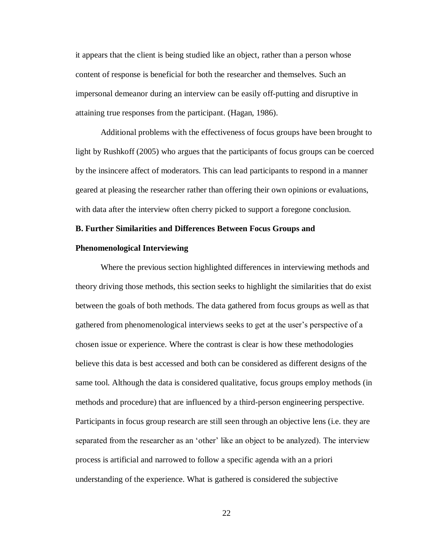it appears that the client is being studied like an object, rather than a person whose content of response is beneficial for both the researcher and themselves. Such an impersonal demeanor during an interview can be easily off-putting and disruptive in attaining true responses from the participant. (Hagan, 1986).

Additional problems with the effectiveness of focus groups have been brought to light by Rushkoff (2005) who argues that the participants of focus groups can be coerced by the insincere affect of moderators. This can lead participants to respond in a manner geared at pleasing the researcher rather than offering their own opinions or evaluations, with data after the interview often cherry picked to support a foregone conclusion.

#### **B. Further Similarities and Differences Between Focus Groups and**

#### **Phenomenological Interviewing**

Where the previous section highlighted differences in interviewing methods and theory driving those methods, this section seeks to highlight the similarities that do exist between the goals of both methods. The data gathered from focus groups as well as that gathered from phenomenological interviews seeks to get at the user's perspective of a chosen issue or experience. Where the contrast is clear is how these methodologies believe this data is best accessed and both can be considered as different designs of the same tool. Although the data is considered qualitative, focus groups employ methods (in methods and procedure) that are influenced by a third-person engineering perspective. Participants in focus group research are still seen through an objective lens (i.e. they are separated from the researcher as an 'other' like an object to be analyzed). The interview process is artificial and narrowed to follow a specific agenda with an a priori understanding of the experience. What is gathered is considered the subjective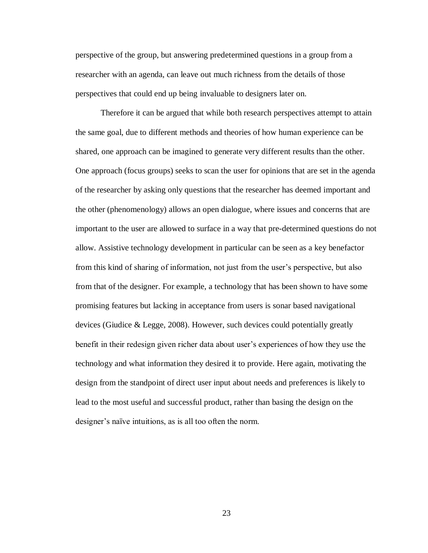perspective of the group, but answering predetermined questions in a group from a researcher with an agenda, can leave out much richness from the details of those perspectives that could end up being invaluable to designers later on.

Therefore it can be argued that while both research perspectives attempt to attain the same goal, due to different methods and theories of how human experience can be shared, one approach can be imagined to generate very different results than the other. One approach (focus groups) seeks to scan the user for opinions that are set in the agenda of the researcher by asking only questions that the researcher has deemed important and the other (phenomenology) allows an open dialogue, where issues and concerns that are important to the user are allowed to surface in a way that pre-determined questions do not allow. Assistive technology development in particular can be seen as a key benefactor from this kind of sharing of information, not just from the user's perspective, but also from that of the designer. For example, a technology that has been shown to have some promising features but lacking in acceptance from users is sonar based navigational devices (Giudice & Legge, 2008). However, such devices could potentially greatly benefit in their redesign given richer data about user's experiences of how they use the technology and what information they desired it to provide. Here again, motivating the design from the standpoint of direct user input about needs and preferences is likely to lead to the most useful and successful product, rather than basing the design on the designer's naïve intuitions, as is all too often the norm.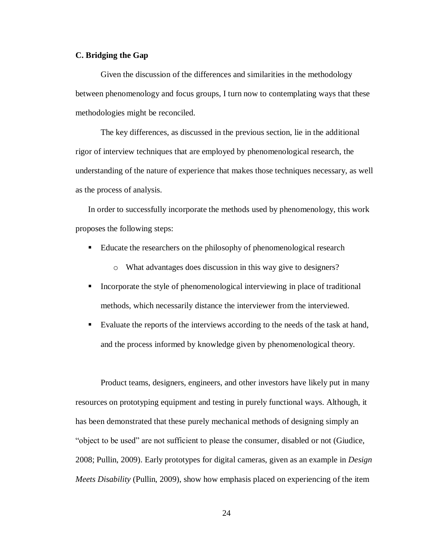## **C. Bridging the Gap**

Given the discussion of the differences and similarities in the methodology between phenomenology and focus groups, I turn now to contemplating ways that these methodologies might be reconciled.

The key differences, as discussed in the previous section, lie in the additional rigor of interview techniques that are employed by phenomenological research, the understanding of the nature of experience that makes those techniques necessary, as well as the process of analysis.

In order to successfully incorporate the methods used by phenomenology, this work proposes the following steps:

- Educate the researchers on the philosophy of phenomenological research
	- o What advantages does discussion in this way give to designers?
- Incorporate the style of phenomenological interviewing in place of traditional methods, which necessarily distance the interviewer from the interviewed.
- Evaluate the reports of the interviews according to the needs of the task at hand, and the process informed by knowledge given by phenomenological theory.

Product teams, designers, engineers, and other investors have likely put in many resources on prototyping equipment and testing in purely functional ways. Although, it has been demonstrated that these purely mechanical methods of designing simply an "object to be used" are not sufficient to please the consumer, disabled or not (Giudice, 2008; Pullin, 2009). Early prototypes for digital cameras, given as an example in *Design Meets Disability* (Pullin, 2009), show how emphasis placed on experiencing of the item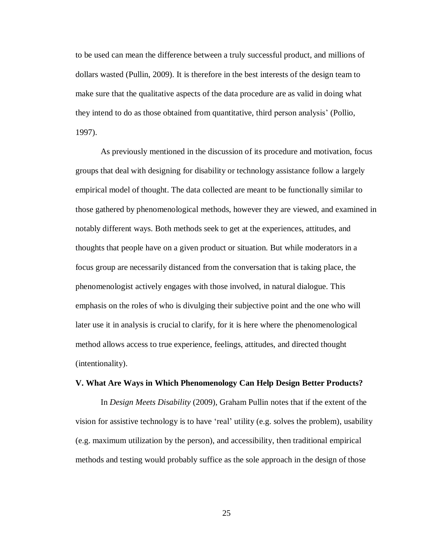to be used can mean the difference between a truly successful product, and millions of dollars wasted (Pullin, 2009). It is therefore in the best interests of the design team to make sure that the qualitative aspects of the data procedure are as valid in doing what they intend to do as those obtained from quantitative, third person analysis' (Pollio, 1997).

As previously mentioned in the discussion of its procedure and motivation, focus groups that deal with designing for disability or technology assistance follow a largely empirical model of thought. The data collected are meant to be functionally similar to those gathered by phenomenological methods, however they are viewed, and examined in notably different ways. Both methods seek to get at the experiences, attitudes, and thoughts that people have on a given product or situation. But while moderators in a focus group are necessarily distanced from the conversation that is taking place, the phenomenologist actively engages with those involved, in natural dialogue. This emphasis on the roles of who is divulging their subjective point and the one who will later use it in analysis is crucial to clarify, for it is here where the phenomenological method allows access to true experience, feelings, attitudes, and directed thought (intentionality).

#### **V. What Are Ways in Which Phenomenology Can Help Design Better Products?**

In *Design Meets Disability* (2009), Graham Pullin notes that if the extent of the vision for assistive technology is to have 'real' utility (e.g. solves the problem), usability (e.g. maximum utilization by the person), and accessibility, then traditional empirical methods and testing would probably suffice as the sole approach in the design of those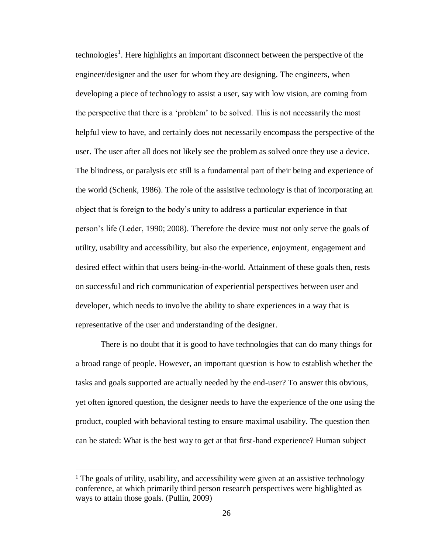technologies<sup>1</sup>. Here highlights an important disconnect between the perspective of the engineer/designer and the user for whom they are designing. The engineers, when developing a piece of technology to assist a user, say with low vision, are coming from the perspective that there is a 'problem' to be solved. This is not necessarily the most helpful view to have, and certainly does not necessarily encompass the perspective of the user. The user after all does not likely see the problem as solved once they use a device. The blindness, or paralysis etc still is a fundamental part of their being and experience of the world (Schenk, 1986). The role of the assistive technology is that of incorporating an object that is foreign to the body's unity to address a particular experience in that person's life (Leder, 1990; 2008). Therefore the device must not only serve the goals of utility, usability and accessibility, but also the experience, enjoyment, engagement and desired effect within that users being-in-the-world. Attainment of these goals then, rests on successful and rich communication of experiential perspectives between user and developer, which needs to involve the ability to share experiences in a way that is representative of the user and understanding of the designer.

There is no doubt that it is good to have technologies that can do many things for a broad range of people. However, an important question is how to establish whether the tasks and goals supported are actually needed by the end-user? To answer this obvious, yet often ignored question, the designer needs to have the experience of the one using the product, coupled with behavioral testing to ensure maximal usability. The question then can be stated: What is the best way to get at that first-hand experience? Human subject

 $\overline{a}$ 

<sup>&</sup>lt;sup>1</sup> The goals of utility, usability, and accessibility were given at an assistive technology conference, at which primarily third person research perspectives were highlighted as ways to attain those goals. (Pullin, 2009)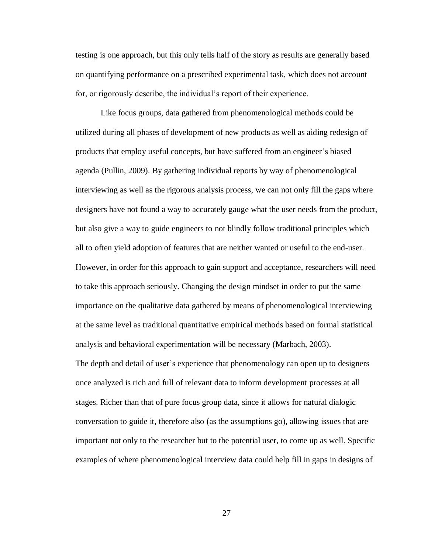testing is one approach, but this only tells half of the story as results are generally based on quantifying performance on a prescribed experimental task, which does not account for, or rigorously describe, the individual's report of their experience.

Like focus groups, data gathered from phenomenological methods could be utilized during all phases of development of new products as well as aiding redesign of products that employ useful concepts, but have suffered from an engineer's biased agenda (Pullin, 2009). By gathering individual reports by way of phenomenological interviewing as well as the rigorous analysis process, we can not only fill the gaps where designers have not found a way to accurately gauge what the user needs from the product, but also give a way to guide engineers to not blindly follow traditional principles which all to often yield adoption of features that are neither wanted or useful to the end-user. However, in order for this approach to gain support and acceptance, researchers will need to take this approach seriously. Changing the design mindset in order to put the same importance on the qualitative data gathered by means of phenomenological interviewing at the same level as traditional quantitative empirical methods based on formal statistical analysis and behavioral experimentation will be necessary (Marbach, 2003). The depth and detail of user's experience that phenomenology can open up to designers once analyzed is rich and full of relevant data to inform development processes at all stages. Richer than that of pure focus group data, since it allows for natural dialogic conversation to guide it, therefore also (as the assumptions go), allowing issues that are important not only to the researcher but to the potential user, to come up as well. Specific examples of where phenomenological interview data could help fill in gaps in designs of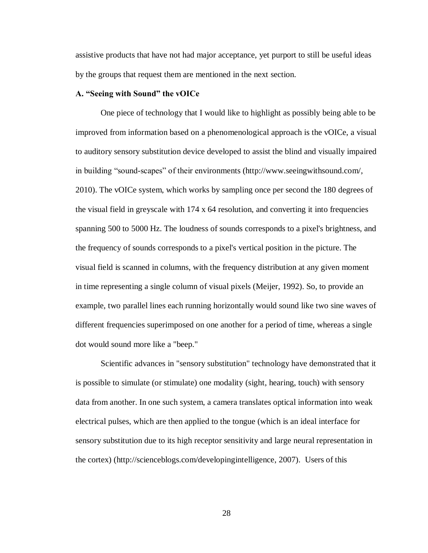assistive products that have not had major acceptance, yet purport to still be useful ideas by the groups that request them are mentioned in the next section.

## **A. "Seeing with Sound" the vOICe**

One piece of technology that I would like to highlight as possibly being able to be improved from information based on a phenomenological approach is the vOICe, a visual to auditory sensory substitution device developed to assist the blind and visually impaired in building "sound-scapes" of their environments (http://www.seeingwithsound.com/, 2010). The vOICe system, which works by sampling once per second the 180 degrees of the visual field in greyscale with 174 x 64 resolution, and converting it into frequencies spanning 500 to 5000 Hz. The loudness of sounds corresponds to a pixel's brightness, and the frequency of sounds corresponds to a pixel's vertical position in the picture. The visual field is scanned in columns, with the frequency distribution at any given moment in time representing a single column of visual pixels (Meijer, 1992). So, to provide an example, two parallel lines each running horizontally would sound like two sine waves of different frequencies superimposed on one another for a period of time, whereas a single dot would sound more like a "beep."

Scientific advances in "sensory substitution" technology have demonstrated that it is possible to simulate (or stimulate) one modality (sight, hearing, touch) with sensory data from another. In one such system, a camera translates optical information into weak electrical pulses, which are then applied to the tongue (which is an ideal interface for sensory substitution due to its high receptor sensitivity and large neural representation in the cortex) (http://scienceblogs.com/developingintelligence, 2007). Users of this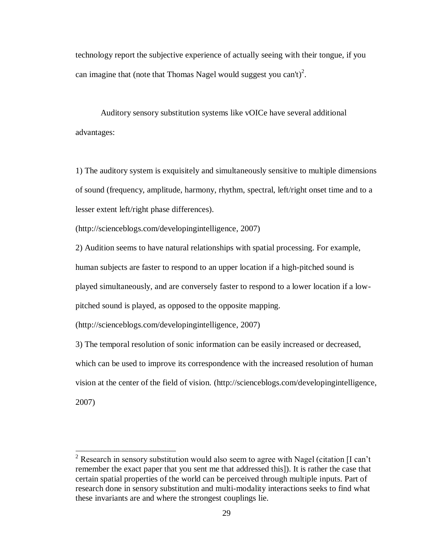technology report the subjective experience of actually seeing with their tongue, if you can imagine that (note that Thomas Nagel would suggest you can't)<sup>2</sup>.

Auditory sensory substitution systems like vOICe have several additional advantages:

1) The auditory system is exquisitely and simultaneously sensitive to multiple dimensions of sound (frequency, amplitude, harmony, rhythm, spectral, left/right onset time and to a lesser extent left/right phase differences).

(http://scienceblogs.com/developingintelligence, 2007)

2) Audition seems to have natural relationships with spatial processing. For example, human subjects are faster to respond to an upper location if a high-pitched sound is played simultaneously, and are conversely faster to respond to a lower location if a lowpitched sound is played, as opposed to the opposite mapping.

(http://scienceblogs.com/developingintelligence, 2007)

 $\overline{a}$ 

3) The temporal resolution of sonic information can be easily increased or decreased, which can be used to improve its correspondence with the increased resolution of human vision at the center of the field of vision. (http://scienceblogs.com/developingintelligence, 2007)

<sup>&</sup>lt;sup>2</sup> Research in sensory substitution would also seem to agree with Nagel (citation [I can't remember the exact paper that you sent me that addressed this]). It is rather the case that certain spatial properties of the world can be perceived through multiple inputs. Part of research done in sensory substitution and multi-modality interactions seeks to find what these invariants are and where the strongest couplings lie.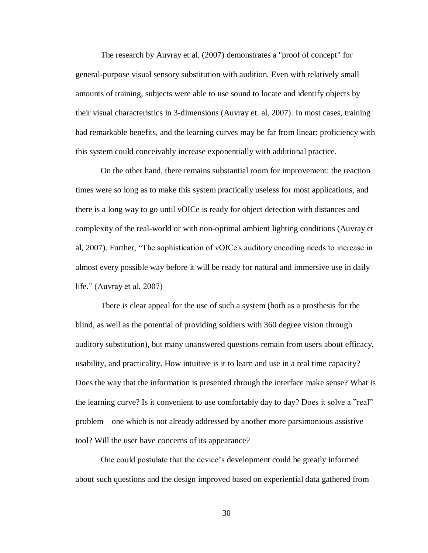The research by Auvray et al. (2007) demonstrates a "proof of concept" for general-purpose visual sensory substitution with audition. Even with relatively small amounts of training, subjects were able to use sound to locate and identify objects by their visual characteristics in 3-dimensions (Auvray et. al, 2007). In most cases, training had remarkable benefits, and the learning curves may be far from linear: proficiency with this system could conceivably increase exponentially with additional practice.

On the other hand, there remains substantial room for improvement: the reaction times were so long as to make this system practically useless for most applications, and there is a long way to go until vOICe is ready for object detection with distances and complexity of the real-world or with non-optimal ambient lighting conditions (Auvray et al, 2007). Further, "The sophistication of vOICe's auditory encoding needs to increase in almost every possible way before it will be ready for natural and immersive use in daily life." (Auvray et al, 2007)

There is clear appeal for the use of such a system (both as a prosthesis for the blind, as well as the potential of providing soldiers with 360 degree vision through auditory substitution), but many unanswered questions remain from users about efficacy, usability, and practicality. How intuitive is it to learn and use in a real time capacity? Does the way that the information is presented through the interface make sense? What is the learning curve? Is it convenient to use comfortably day to day? Does it solve a "real" problem—one which is not already addressed by another more parsimonious assistive tool? Will the user have concerns of its appearance?

One could postulate that the device's development could be greatly informed about such questions and the design improved based on experiential data gathered from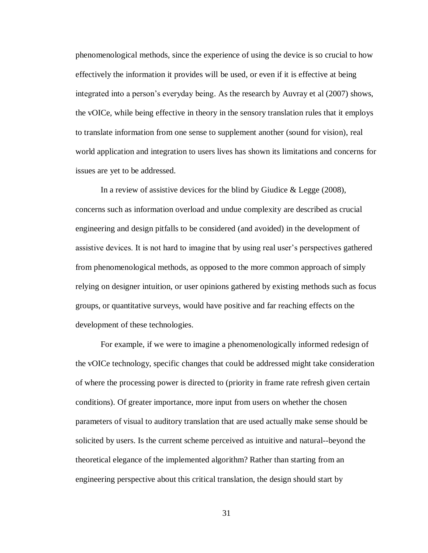phenomenological methods, since the experience of using the device is so crucial to how effectively the information it provides will be used, or even if it is effective at being integrated into a person's everyday being. As the research by Auvray et al (2007) shows, the vOICe, while being effective in theory in the sensory translation rules that it employs to translate information from one sense to supplement another (sound for vision), real world application and integration to users lives has shown its limitations and concerns for issues are yet to be addressed.

In a review of assistive devices for the blind by Giudice & Legge (2008), concerns such as information overload and undue complexity are described as crucial engineering and design pitfalls to be considered (and avoided) in the development of assistive devices. It is not hard to imagine that by using real user's perspectives gathered from phenomenological methods, as opposed to the more common approach of simply relying on designer intuition, or user opinions gathered by existing methods such as focus groups, or quantitative surveys, would have positive and far reaching effects on the development of these technologies.

For example, if we were to imagine a phenomenologically informed redesign of the vOICe technology, specific changes that could be addressed might take consideration of where the processing power is directed to (priority in frame rate refresh given certain conditions). Of greater importance, more input from users on whether the chosen parameters of visual to auditory translation that are used actually make sense should be solicited by users. Is the current scheme perceived as intuitive and natural--beyond the theoretical elegance of the implemented algorithm? Rather than starting from an engineering perspective about this critical translation, the design should start by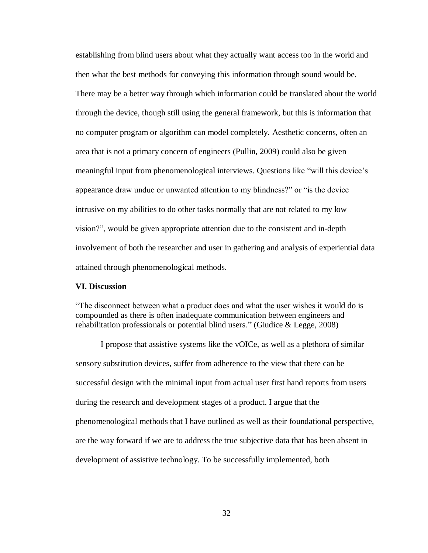establishing from blind users about what they actually want access too in the world and then what the best methods for conveying this information through sound would be. There may be a better way through which information could be translated about the world through the device, though still using the general framework, but this is information that no computer program or algorithm can model completely. Aesthetic concerns, often an area that is not a primary concern of engineers (Pullin, 2009) could also be given meaningful input from phenomenological interviews. Questions like "will this device's appearance draw undue or unwanted attention to my blindness?" or "is the device intrusive on my abilities to do other tasks normally that are not related to my low vision?", would be given appropriate attention due to the consistent and in-depth involvement of both the researcher and user in gathering and analysis of experiential data attained through phenomenological methods.

#### **VI. Discussion**

"The disconnect between what a product does and what the user wishes it would do is compounded as there is often inadequate communication between engineers and rehabilitation professionals or potential blind users." (Giudice & Legge, 2008)

I propose that assistive systems like the vOICe, as well as a plethora of similar sensory substitution devices, suffer from adherence to the view that there can be successful design with the minimal input from actual user first hand reports from users during the research and development stages of a product. I argue that the phenomenological methods that I have outlined as well as their foundational perspective, are the way forward if we are to address the true subjective data that has been absent in development of assistive technology. To be successfully implemented, both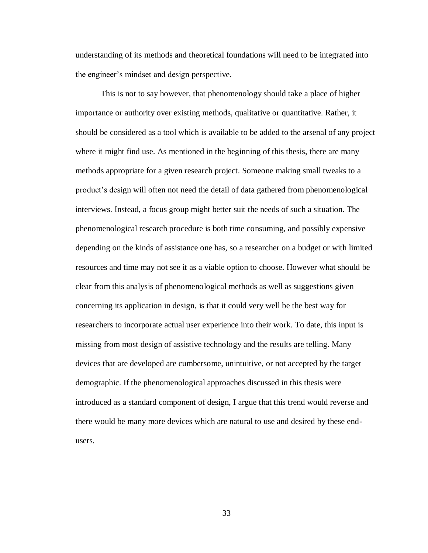understanding of its methods and theoretical foundations will need to be integrated into the engineer's mindset and design perspective.

This is not to say however, that phenomenology should take a place of higher importance or authority over existing methods, qualitative or quantitative. Rather, it should be considered as a tool which is available to be added to the arsenal of any project where it might find use. As mentioned in the beginning of this thesis, there are many methods appropriate for a given research project. Someone making small tweaks to a product's design will often not need the detail of data gathered from phenomenological interviews. Instead, a focus group might better suit the needs of such a situation. The phenomenological research procedure is both time consuming, and possibly expensive depending on the kinds of assistance one has, so a researcher on a budget or with limited resources and time may not see it as a viable option to choose. However what should be clear from this analysis of phenomenological methods as well as suggestions given concerning its application in design, is that it could very well be the best way for researchers to incorporate actual user experience into their work. To date, this input is missing from most design of assistive technology and the results are telling. Many devices that are developed are cumbersome, unintuitive, or not accepted by the target demographic. If the phenomenological approaches discussed in this thesis were introduced as a standard component of design, I argue that this trend would reverse and there would be many more devices which are natural to use and desired by these endusers.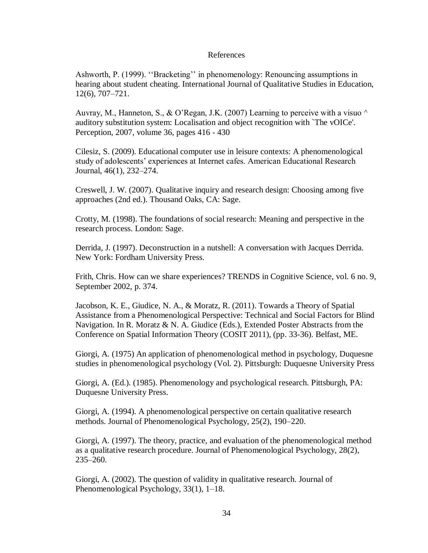## References

Ashworth, P. (1999). ''Bracketing'' in phenomenology: Renouncing assumptions in hearing about student cheating. International Journal of Qualitative Studies in Education, 12(6), 707–721.

Auvray, M., Hanneton, S., & O'Regan, J.K. (2007) Learning to perceive with a visuo  $\wedge$ auditory substitution system: Localisation and object recognition with `The vOICe'. Perception, 2007, volume 36, pages 416 - 430

Cilesiz, S. (2009). Educational computer use in leisure contexts: A phenomenological study of adolescents' experiences at Internet cafes. American Educational Research Journal, 46(1), 232–274.

Creswell, J. W. (2007). Qualitative inquiry and research design: Choosing among five approaches (2nd ed.). Thousand Oaks, CA: Sage.

Crotty, M. (1998). The foundations of social research: Meaning and perspective in the research process. London: Sage.

Derrida, J. (1997). Deconstruction in a nutshell: A conversation with Jacques Derrida. New York: Fordham University Press.

Frith, Chris. How can we share experiences? TRENDS in Cognitive Science, vol. 6 no. 9, September 2002, p. 374.

Jacobson, K. E., Giudice, N. A., & Moratz, R. (2011). Towards a Theory of Spatial Assistance from a Phenomenological Perspective: Technical and Social Factors for Blind Navigation. In R. Moratz & N. A. Giudice (Eds.), Extended Poster Abstracts from the Conference on Spatial Information Theory (COSIT 2011), (pp. 33-36). Belfast, ME.

Giorgi, A. (1975) An application of phenomenological method in psychology, Duquesne studies in phenomenological psychology (Vol. 2). Pittsburgh: Duquesne University Press

Giorgi, A. (Ed.). (1985). Phenomenology and psychological research. Pittsburgh, PA: Duquesne University Press.

Giorgi, A. (1994). A phenomenological perspective on certain qualitative research methods. Journal of Phenomenological Psychology, 25(2), 190–220.

Giorgi, A. (1997). The theory, practice, and evaluation of the phenomenological method as a qualitative research procedure. Journal of Phenomenological Psychology, 28(2), 235–260.

Giorgi, A. (2002). The question of validity in qualitative research. Journal of Phenomenological Psychology, 33(1), 1–18.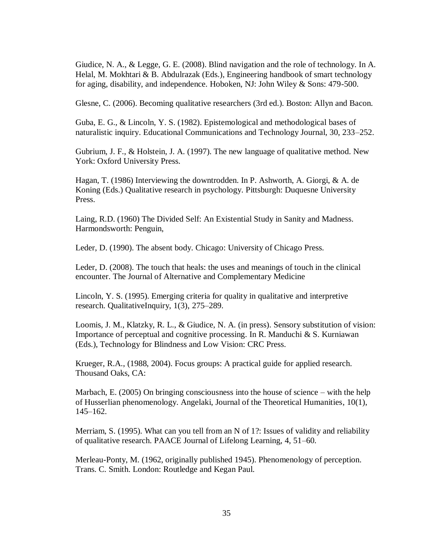Giudice, N. A., & Legge, G. E. (2008). Blind navigation and the role of technology. In A. Helal, M. Mokhtari & B. Abdulrazak (Eds.), Engineering handbook of smart technology for aging, disability, and independence. Hoboken, NJ: John Wiley & Sons: 479-500.

Glesne, C. (2006). Becoming qualitative researchers (3rd ed.). Boston: Allyn and Bacon.

Guba, E. G., & Lincoln, Y. S. (1982). Epistemological and methodological bases of naturalistic inquiry. Educational Communications and Technology Journal, 30, 233–252.

Gubrium, J. F., & Holstein, J. A. (1997). The new language of qualitative method. New York: Oxford University Press.

Hagan, T. (1986) Interviewing the downtrodden. In P. Ashworth, A. Giorgi, & A. de Koning (Eds.) Qualitative research in psychology. Pittsburgh: Duquesne University Press.

Laing, R.D. (1960) The Divided Self: An Existential Study in Sanity and Madness. Harmondsworth: Penguin,

Leder, D. (1990). The absent body. Chicago: University of Chicago Press.

Leder, D. (2008). The touch that heals: the uses and meanings of touch in the clinical encounter. The Journal of Alternative and Complementary Medicine

Lincoln, Y. S. (1995). Emerging criteria for quality in qualitative and interpretive research. QualitativeInquiry, 1(3), 275–289.

Loomis, J. M., Klatzky, R. L., & Giudice, N. A. (in press). Sensory substitution of vision: Importance of perceptual and cognitive processing. In R. Manduchi & S. Kurniawan (Eds.), Technology for Blindness and Low Vision: CRC Press.

Krueger, R.A., (1988, 2004). Focus groups: A practical guide for applied research. Thousand Oaks, CA:

Marbach, E. (2005) On bringing consciousness into the house of science – with the help of Husserlian phenomenology. Angelaki, Journal of the Theoretical Humanities, 10(1), 145–162.

Merriam, S. (1995). What can you tell from an N of 1?: Issues of validity and reliability of qualitative research. PAACE Journal of Lifelong Learning, 4, 51–60.

Merleau-Ponty, M. (1962, originally published 1945). Phenomenology of perception. Trans. C. Smith. London: Routledge and Kegan Paul.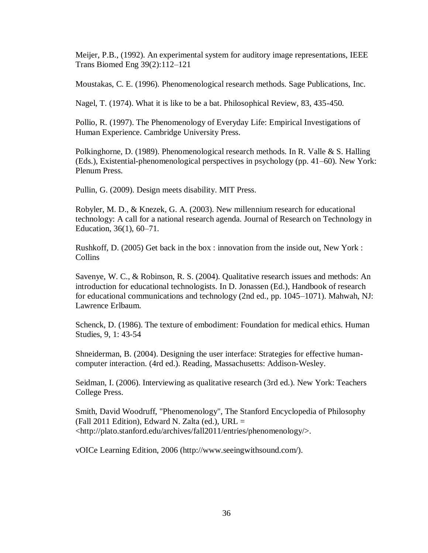Meijer, P.B., (1992). An experimental system for auditory image representations, IEEE Trans Biomed Eng 39(2):112–121

Moustakas, C. E. (1996). Phenomenological research methods. Sage Publications, Inc.

Nagel, T. (1974). What it is like to be a bat. Philosophical Review, 83, 435-450.

Pollio, R. (1997). The Phenomenology of Everyday Life: Empirical Investigations of Human Experience. Cambridge University Press.

Polkinghorne, D. (1989). Phenomenological research methods. In R. Valle & S. Halling (Eds.), Existential-phenomenological perspectives in psychology (pp. 41–60). New York: Plenum Press.

Pullin, G. (2009). Design meets disability. MIT Press.

Robyler, M. D., & Knezek, G. A. (2003). New millennium research for educational technology: A call for a national research agenda. Journal of Research on Technology in Education, 36(1), 60–71.

Rushkoff, D. (2005) Get back in the box : innovation from the inside out, New York : Collins

Savenye, W. C., & Robinson, R. S. (2004). Qualitative research issues and methods: An introduction for educational technologists. In D. Jonassen (Ed.), Handbook of research for educational communications and technology (2nd ed., pp. 1045–1071). Mahwah, NJ: Lawrence Erlbaum.

Schenck, D. (1986). The texture of embodiment: Foundation for medical ethics. Human Studies, 9, 1: 43-54

Shneiderman, B. (2004). Designing the user interface: Strategies for effective humancomputer interaction. (4rd ed.). Reading, Massachusetts: Addison-Wesley.

Seidman, I. (2006). Interviewing as qualitative research (3rd ed.). New York: Teachers College Press.

Smith, David Woodruff, "Phenomenology", The Stanford Encyclopedia of Philosophy (Fall 2011 Edition), Edward N. Zalta (ed.), URL  $=$ <http://plato.stanford.edu/archives/fall2011/entries/phenomenology/>.

vOICe Learning Edition, 2006 (http://www.seeingwithsound.com/).